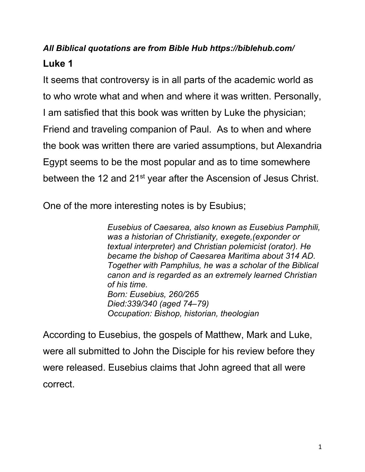# *All Biblical quotations are from Bible Hub https://biblehub.com/* **Luke 1**

It seems that controversy is in all parts of the academic world as to who wrote what and when and where it was written. Personally, I am satisfied that this book was written by Luke the physician; Friend and traveling companion of Paul. As to when and where the book was written there are varied assumptions, but Alexandria Egypt seems to be the most popular and as to time somewhere between the 12 and 21<sup>st</sup> year after the Ascension of Jesus Christ.

One of the more interesting notes is by Esubius;

*Eusebius of Caesarea, also known as Eusebius Pamphili, was a historian of Christianity, exegete,(exponder or textual interpreter) and Christian polemicist (orator). He became the bishop of Caesarea Maritima about 314 AD. Together with Pamphilus, he was a scholar of the Biblical canon and is regarded as an extremely learned Christian of his time. Born: Eusebius, 260/265 Died:339/340 (aged 74–79) Occupation: Bishop, historian, theologian*

According to Eusebius, the gospels of Matthew, Mark and Luke, were all submitted to John the Disciple for his review before they were released. Eusebius claims that John agreed that all were correct.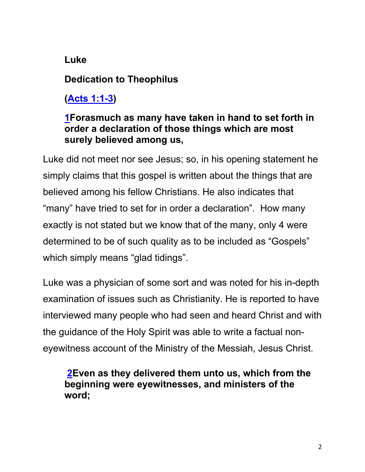## **Luke**

## **Dedication to Theophilus**

**(Acts 1:1-3)**

## **1Forasmuch as many have taken in hand to set forth in order a declaration of those things which are most surely believed among us,**

Luke did not meet nor see Jesus; so, in his opening statement he simply claims that this gospel is written about the things that are believed among his fellow Christians. He also indicates that "many" have tried to set for in order a declaration". How many exactly is not stated but we know that of the many, only 4 were determined to be of such quality as to be included as "Gospels" which simply means "glad tidings".

Luke was a physician of some sort and was noted for his in-depth examination of issues such as Christianity. He is reported to have interviewed many people who had seen and heard Christ and with the guidance of the Holy Spirit was able to write a factual noneyewitness account of the Ministry of the Messiah, Jesus Christ.

**2Even as they delivered them unto us, which from the beginning were eyewitnesses, and ministers of the word;**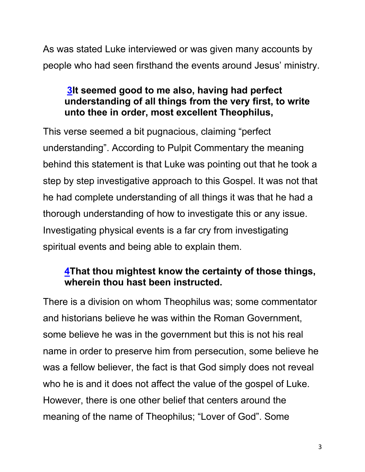As was stated Luke interviewed or was given many accounts by people who had seen firsthand the events around Jesus' ministry.

## **3It seemed good to me also, having had perfect understanding of all things from the very first, to write unto thee in order, most excellent Theophilus,**

This verse seemed a bit pugnacious, claiming "perfect understanding". According to Pulpit Commentary the meaning behind this statement is that Luke was pointing out that he took a step by step investigative approach to this Gospel. It was not that he had complete understanding of all things it was that he had a thorough understanding of how to investigate this or any issue. Investigating physical events is a far cry from investigating spiritual events and being able to explain them.

## **4That thou mightest know the certainty of those things, wherein thou hast been instructed.**

There is a division on whom Theophilus was; some commentator and historians believe he was within the Roman Government, some believe he was in the government but this is not his real name in order to preserve him from persecution, some believe he was a fellow believer, the fact is that God simply does not reveal who he is and it does not affect the value of the gospel of Luke. However, there is one other belief that centers around the meaning of the name of Theophilus; "Lover of God". Some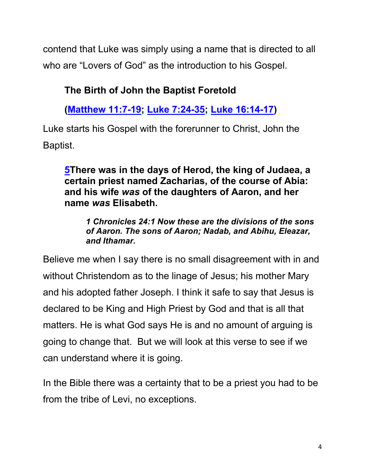contend that Luke was simply using a name that is directed to all who are "Lovers of God" as the introduction to his Gospel.

## **The Birth of John the Baptist Foretold**

**(Matthew 11:7-19; Luke 7:24-35; Luke 16:14-17)**

Luke starts his Gospel with the forerunner to Christ, John the Baptist.

**5There was in the days of Herod, the king of Judaea, a certain priest named Zacharias, of the course of Abia: and his wife** *was* **of the daughters of Aaron, and her name** *was* **Elisabeth.**

*1 Chronicles 24:1 Now these are the divisions of the sons of Aaron. The sons of Aaron; Nadab, and Abihu, Eleazar, and Ithamar.*

Believe me when I say there is no small disagreement with in and without Christendom as to the linage of Jesus; his mother Mary and his adopted father Joseph. I think it safe to say that Jesus is declared to be King and High Priest by God and that is all that matters. He is what God says He is and no amount of arguing is going to change that. But we will look at this verse to see if we can understand where it is going.

In the Bible there was a certainty that to be a priest you had to be from the tribe of Levi, no exceptions.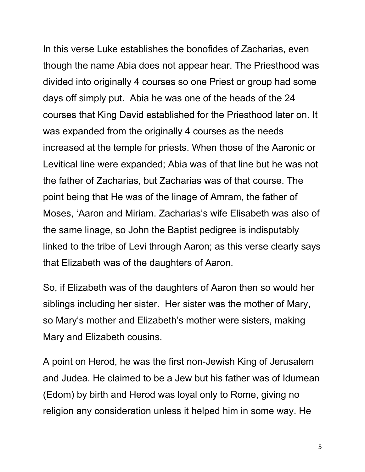In this verse Luke establishes the bonofides of Zacharias, even though the name Abia does not appear hear. The Priesthood was divided into originally 4 courses so one Priest or group had some days off simply put. Abia he was one of the heads of the 24 courses that King David established for the Priesthood later on. It was expanded from the originally 4 courses as the needs increased at the temple for priests. When those of the Aaronic or Levitical line were expanded; Abia was of that line but he was not the father of Zacharias, but Zacharias was of that course. The point being that He was of the linage of Amram, the father of Moses, 'Aaron and Miriam. Zacharias's wife Elisabeth was also of the same linage, so John the Baptist pedigree is indisputably linked to the tribe of Levi through Aaron; as this verse clearly says that Elizabeth was of the daughters of Aaron.

So, if Elizabeth was of the daughters of Aaron then so would her siblings including her sister. Her sister was the mother of Mary, so Mary's mother and Elizabeth's mother were sisters, making Mary and Elizabeth cousins.

A point on Herod, he was the first non-Jewish King of Jerusalem and Judea. He claimed to be a Jew but his father was of Idumean (Edom) by birth and Herod was loyal only to Rome, giving no religion any consideration unless it helped him in some way. He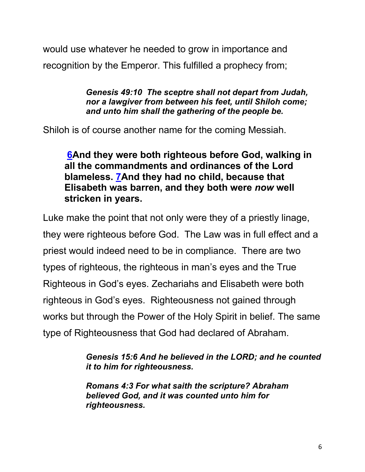would use whatever he needed to grow in importance and recognition by the Emperor. This fulfilled a prophecy from;

> *Genesis 49:10 The sceptre shall not depart from Judah, nor a lawgiver from between his feet, until Shiloh come; and unto him shall the gathering of the people be.*

Shiloh is of course another name for the coming Messiah.

**6And they were both righteous before God, walking in all the commandments and ordinances of the Lord blameless. 7And they had no child, because that Elisabeth was barren, and they both were** *now* **well stricken in years.**

Luke make the point that not only were they of a priestly linage, they were righteous before God. The Law was in full effect and a priest would indeed need to be in compliance. There are two types of righteous, the righteous in man's eyes and the True Righteous in God's eyes. Zechariahs and Elisabeth were both righteous in God's eyes. Righteousness not gained through works but through the Power of the Holy Spirit in belief. The same type of Righteousness that God had declared of Abraham.

> *Genesis 15:6 And he believed in the LORD; and he counted it to him for righteousness.*

*Romans 4:3 For what saith the scripture? Abraham believed God, and it was counted unto him for righteousness.*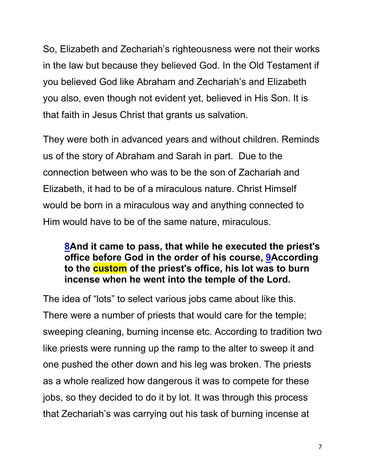So, Elizabeth and Zechariah's righteousness were not their works in the law but because they believed God. In the Old Testament if you believed God like Abraham and Zechariah's and Elizabeth you also, even though not evident yet, believed in His Son. It is that faith in Jesus Christ that grants us salvation.

They were both in advanced years and without children. Reminds us of the story of Abraham and Sarah in part. Due to the connection between who was to be the son of Zachariah and Elizabeth, it had to be of a miraculous nature. Christ Himself would be born in a miraculous way and anything connected to Him would have to be of the same nature, miraculous.

### **8And it came to pass, that while he executed the priest's office before God in the order of his course, 9According to the custom of the priest's office, his lot was to burn incense when he went into the temple of the Lord.**

The idea of "lots" to select various jobs came about like this. There were a number of priests that would care for the temple; sweeping cleaning, burning incense etc. According to tradition two like priests were running up the ramp to the alter to sweep it and one pushed the other down and his leg was broken. The priests as a whole realized how dangerous it was to compete for these jobs, so they decided to do it by lot. It was through this process that Zechariah's was carrying out his task of burning incense at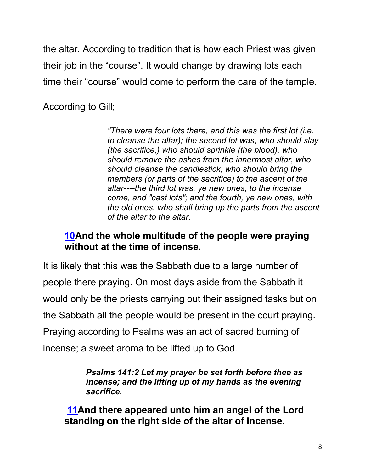the altar. According to tradition that is how each Priest was given their job in the "course". It would change by drawing lots each time their "course" would come to perform the care of the temple.

According to Gill;

*"There were four lots there, and this was the first lot (i.e. to cleanse the altar); the second lot was, who should slay (the sacrifice,) who should sprinkle (the blood), who should remove the ashes from the innermost altar, who should cleanse the candlestick, who should bring the members (or parts of the sacrifice) to the ascent of the altar----the third lot was, ye new ones, to the incense come, and "cast lots"; and the fourth, ye new ones, with the old ones, who shall bring up the parts from the ascent of the altar to the altar.* 

### **10And the whole multitude of the people were praying without at the time of incense.**

It is likely that this was the Sabbath due to a large number of people there praying. On most days aside from the Sabbath it would only be the priests carrying out their assigned tasks but on the Sabbath all the people would be present in the court praying. Praying according to Psalms was an act of sacred burning of incense; a sweet aroma to be lifted up to God.

> *Psalms 141:2 Let my prayer be set forth before thee as incense; and the lifting up of my hands as the evening sacrifice.*

**11And there appeared unto him an angel of the Lord standing on the right side of the altar of incense.**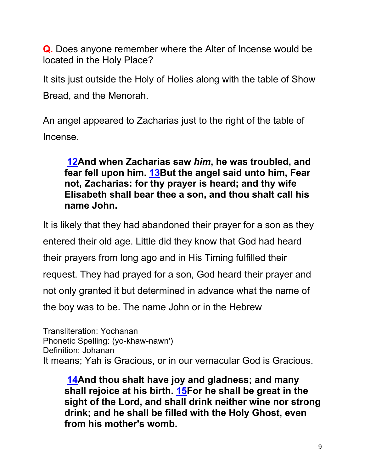**Q.** Does anyone remember where the Alter of Incense would be located in the Holy Place?

It sits just outside the Holy of Holies along with the table of Show Bread, and the Menorah.

An angel appeared to Zacharias just to the right of the table of Incense.

**12And when Zacharias saw** *him***, he was troubled, and fear fell upon him. 13But the angel said unto him, Fear not, Zacharias: for thy prayer is heard; and thy wife Elisabeth shall bear thee a son, and thou shalt call his name John.**

It is likely that they had abandoned their prayer for a son as they entered their old age. Little did they know that God had heard their prayers from long ago and in His Timing fulfilled their request. They had prayed for a son, God heard their prayer and not only granted it but determined in advance what the name of the boy was to be. The name John or in the Hebrew

Transliteration: Yochanan Phonetic Spelling: (yo-khaw-nawn') Definition: Johanan It means; Yah is Gracious, or in our vernacular God is Gracious.

**14And thou shalt have joy and gladness; and many shall rejoice at his birth. 15For he shall be great in the sight of the Lord, and shall drink neither wine nor strong drink; and he shall be filled with the Holy Ghost, even from his mother's womb.**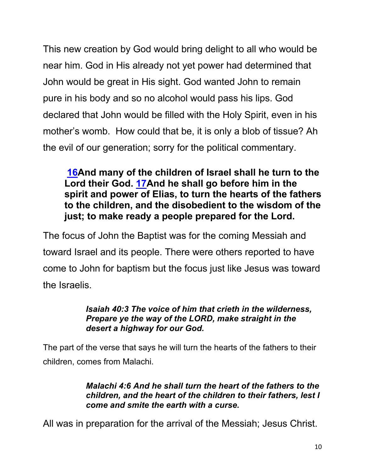This new creation by God would bring delight to all who would be near him. God in His already not yet power had determined that John would be great in His sight. God wanted John to remain pure in his body and so no alcohol would pass his lips. God declared that John would be filled with the Holy Spirit, even in his mother's womb. How could that be, it is only a blob of tissue? Ah the evil of our generation; sorry for the political commentary.

**16And many of the children of Israel shall he turn to the Lord their God. 17And he shall go before him in the spirit and power of Elias, to turn the hearts of the fathers to the children, and the disobedient to the wisdom of the just; to make ready a people prepared for the Lord.**

The focus of John the Baptist was for the coming Messiah and toward Israel and its people. There were others reported to have come to John for baptism but the focus just like Jesus was toward the Israelis.

#### *Isaiah 40:3 The voice of him that crieth in the wilderness, Prepare ye the way of the LORD, make straight in the desert a highway for our God.*

The part of the verse that says he will turn the hearts of the fathers to their children, comes from Malachi.

#### *Malachi 4:6 And he shall turn the heart of the fathers to the children, and the heart of the children to their fathers, lest I come and smite the earth with a curse.*

All was in preparation for the arrival of the Messiah; Jesus Christ.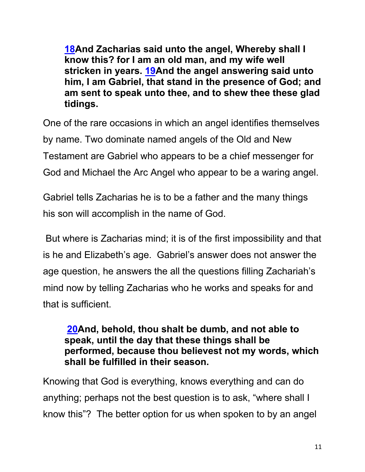**18And Zacharias said unto the angel, Whereby shall I know this? for I am an old man, and my wife well stricken in years. 19And the angel answering said unto him, I am Gabriel, that stand in the presence of God; and am sent to speak unto thee, and to shew thee these glad tidings.**

One of the rare occasions in which an angel identifies themselves by name. Two dominate named angels of the Old and New Testament are Gabriel who appears to be a chief messenger for God and Michael the Arc Angel who appear to be a waring angel.

Gabriel tells Zacharias he is to be a father and the many things his son will accomplish in the name of God.

But where is Zacharias mind; it is of the first impossibility and that is he and Elizabeth's age. Gabriel's answer does not answer the age question, he answers the all the questions filling Zachariah's mind now by telling Zacharias who he works and speaks for and that is sufficient.

### **20And, behold, thou shalt be dumb, and not able to speak, until the day that these things shall be performed, because thou believest not my words, which shall be fulfilled in their season.**

Knowing that God is everything, knows everything and can do anything; perhaps not the best question is to ask, "where shall I know this"? The better option for us when spoken to by an angel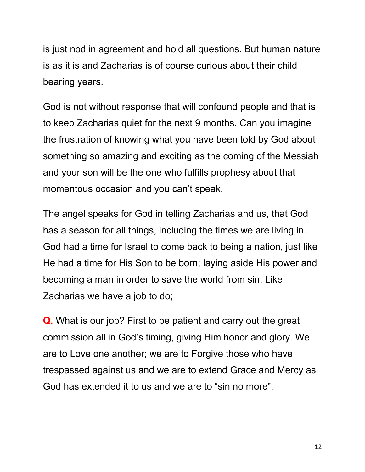is just nod in agreement and hold all questions. But human nature is as it is and Zacharias is of course curious about their child bearing years.

God is not without response that will confound people and that is to keep Zacharias quiet for the next 9 months. Can you imagine the frustration of knowing what you have been told by God about something so amazing and exciting as the coming of the Messiah and your son will be the one who fulfills prophesy about that momentous occasion and you can't speak.

The angel speaks for God in telling Zacharias and us, that God has a season for all things, including the times we are living in. God had a time for Israel to come back to being a nation, just like He had a time for His Son to be born; laying aside His power and becoming a man in order to save the world from sin. Like Zacharias we have a job to do;

**Q.** What is our job? First to be patient and carry out the great commission all in God's timing, giving Him honor and glory. We are to Love one another; we are to Forgive those who have trespassed against us and we are to extend Grace and Mercy as God has extended it to us and we are to "sin no more".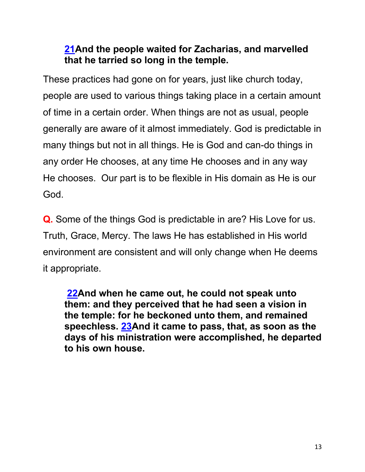## **21And the people waited for Zacharias, and marvelled that he tarried so long in the temple.**

These practices had gone on for years, just like church today, people are used to various things taking place in a certain amount of time in a certain order. When things are not as usual, people generally are aware of it almost immediately. God is predictable in many things but not in all things. He is God and can-do things in any order He chooses, at any time He chooses and in any way He chooses. Our part is to be flexible in His domain as He is our God.

**Q.** Some of the things God is predictable in are? His Love for us. Truth, Grace, Mercy. The laws He has established in His world environment are consistent and will only change when He deems it appropriate.

**22And when he came out, he could not speak unto them: and they perceived that he had seen a vision in the temple: for he beckoned unto them, and remained speechless. 23And it came to pass, that, as soon as the days of his ministration were accomplished, he departed to his own house.**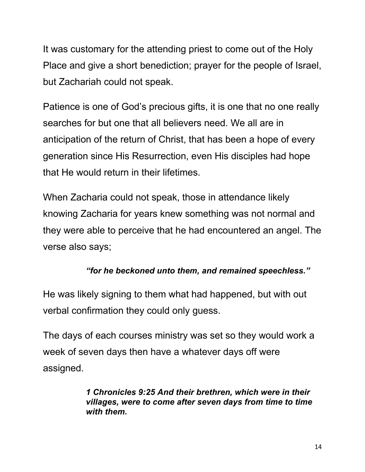It was customary for the attending priest to come out of the Holy Place and give a short benediction; prayer for the people of Israel, but Zachariah could not speak.

Patience is one of God's precious gifts, it is one that no one really searches for but one that all believers need. We all are in anticipation of the return of Christ, that has been a hope of every generation since His Resurrection, even His disciples had hope that He would return in their lifetimes.

When Zacharia could not speak, those in attendance likely knowing Zacharia for years knew something was not normal and they were able to perceive that he had encountered an angel. The verse also says;

#### *"for he beckoned unto them, and remained speechless."*

He was likely signing to them what had happened, but with out verbal confirmation they could only guess.

The days of each courses ministry was set so they would work a week of seven days then have a whatever days off were assigned.

> *1 Chronicles 9:25 And their brethren, which were in their villages, were to come after seven days from time to time with them.*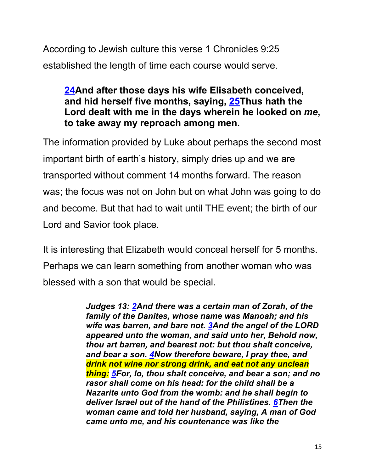According to Jewish culture this verse 1 Chronicles 9:25 established the length of time each course would serve.

## **24And after those days his wife Elisabeth conceived, and hid herself five months, saying, 25Thus hath the Lord dealt with me in the days wherein he looked on** *me***, to take away my reproach among men.**

The information provided by Luke about perhaps the second most important birth of earth's history, simply dries up and we are transported without comment 14 months forward. The reason was; the focus was not on John but on what John was going to do and become. But that had to wait until THE event; the birth of our Lord and Savior took place.

It is interesting that Elizabeth would conceal herself for 5 months. Perhaps we can learn something from another woman who was blessed with a son that would be special.

> *Judges 13: 2And there was a certain man of Zorah, of the family of the Danites, whose name was Manoah; and his wife was barren, and bare not. 3And the angel of the LORD appeared unto the woman, and said unto her, Behold now, thou art barren, and bearest not: but thou shalt conceive, and bear a son. 4Now therefore beware, I pray thee, and drink not wine nor strong drink, and eat not any unclean thing: 5For, lo, thou shalt conceive, and bear a son; and no rasor shall come on his head: for the child shall be a Nazarite unto God from the womb: and he shall begin to deliver Israel out of the hand of the Philistines. 6Then the woman came and told her husband, saying, A man of God came unto me, and his countenance was like the*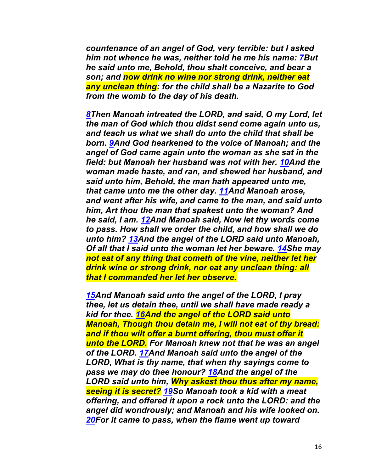*countenance of an angel of God, very terrible: but I asked him not whence he was, neither told he me his name: 7But he said unto me, Behold, thou shalt conceive, and bear a son; and now drink no wine nor strong drink, neither eat any unclean thing: for the child shall be a Nazarite to God from the womb to the day of his death.*

*8Then Manoah intreated the LORD, and said, O my Lord, let the man of God which thou didst send come again unto us, and teach us what we shall do unto the child that shall be born. 9And God hearkened to the voice of Manoah; and the angel of God came again unto the woman as she sat in the field: but Manoah her husband was not with her. 10And the woman made haste, and ran, and shewed her husband, and said unto him, Behold, the man hath appeared unto me, that came unto me the other day. 11And Manoah arose, and went after his wife, and came to the man, and said unto him, Art thou the man that spakest unto the woman? And he said, I am. 12And Manoah said, Now let thy words come to pass. How shall we order the child, and how shall we do unto him? 13And the angel of the LORD said unto Manoah, Of all that I said unto the woman let her beware. 14She may not eat of any thing that cometh of the vine, neither let her drink wine or strong drink, nor eat any unclean thing: all that I commanded her let her observe.*

*15And Manoah said unto the angel of the LORD, I pray thee, let us detain thee, until we shall have made ready a kid for thee. 16And the angel of the LORD said unto Manoah, Though thou detain me, I will not eat of thy bread: and if thou wilt offer a burnt offering, thou must offer it unto the LORD. For Manoah knew not that he was an angel of the LORD. 17And Manoah said unto the angel of the LORD, What is thy name, that when thy sayings come to pass we may do thee honour? 18And the angel of the LORD said unto him, Why askest thou thus after my name, seeing it is secret? 19So Manoah took a kid with a meat offering, and offered it upon a rock unto the LORD: and the angel did wondrously; and Manoah and his wife looked on. 20For it came to pass, when the flame went up toward*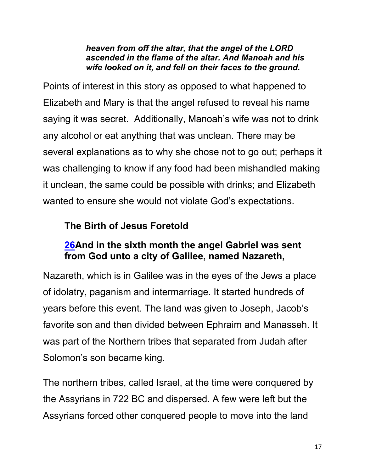#### *heaven from off the altar, that the angel of the LORD ascended in the flame of the altar. And Manoah and his wife looked on it, and fell on their faces to the ground.*

Points of interest in this story as opposed to what happened to Elizabeth and Mary is that the angel refused to reveal his name saying it was secret. Additionally, Manoah's wife was not to drink any alcohol or eat anything that was unclean. There may be several explanations as to why she chose not to go out; perhaps it was challenging to know if any food had been mishandled making it unclean, the same could be possible with drinks; and Elizabeth wanted to ensure she would not violate God's expectations.

## **The Birth of Jesus Foretold**

## **26And in the sixth month the angel Gabriel was sent from God unto a city of Galilee, named Nazareth,**

Nazareth, which is in Galilee was in the eyes of the Jews a place of idolatry, paganism and intermarriage. It started hundreds of years before this event. The land was given to Joseph, Jacob's favorite son and then divided between Ephraim and Manasseh. It was part of the Northern tribes that separated from Judah after Solomon's son became king.

The northern tribes, called Israel, at the time were conquered by the Assyrians in 722 BC and dispersed. A few were left but the Assyrians forced other conquered people to move into the land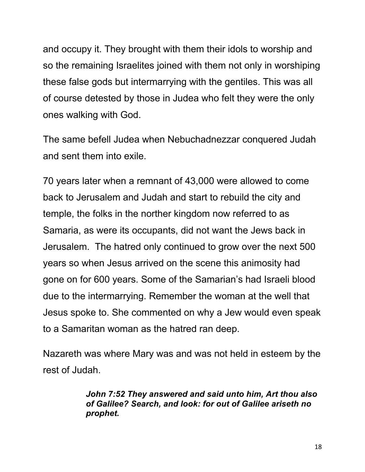and occupy it. They brought with them their idols to worship and so the remaining Israelites joined with them not only in worshiping these false gods but intermarrying with the gentiles. This was all of course detested by those in Judea who felt they were the only ones walking with God.

The same befell Judea when Nebuchadnezzar conquered Judah and sent them into exile.

70 years later when a remnant of 43,000 were allowed to come back to Jerusalem and Judah and start to rebuild the city and temple, the folks in the norther kingdom now referred to as Samaria, as were its occupants, did not want the Jews back in Jerusalem. The hatred only continued to grow over the next 500 years so when Jesus arrived on the scene this animosity had gone on for 600 years. Some of the Samarian's had Israeli blood due to the intermarrying. Remember the woman at the well that Jesus spoke to. She commented on why a Jew would even speak to a Samaritan woman as the hatred ran deep.

Nazareth was where Mary was and was not held in esteem by the rest of Judah.

> *John 7:52 They answered and said unto him, Art thou also of Galilee? Search, and look: for out of Galilee ariseth no prophet.*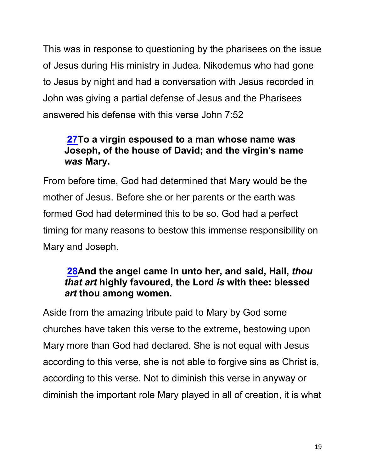This was in response to questioning by the pharisees on the issue of Jesus during His ministry in Judea. Nikodemus who had gone to Jesus by night and had a conversation with Jesus recorded in John was giving a partial defense of Jesus and the Pharisees answered his defense with this verse John 7:52

## **27To a virgin espoused to a man whose name was Joseph, of the house of David; and the virgin's name**  *was* **Mary.**

From before time, God had determined that Mary would be the mother of Jesus. Before she or her parents or the earth was formed God had determined this to be so. God had a perfect timing for many reasons to bestow this immense responsibility on Mary and Joseph.

## **28And the angel came in unto her, and said, Hail,** *thou that art* **highly favoured, the Lord** *is* **with thee: blessed**  *art* **thou among women.**

Aside from the amazing tribute paid to Mary by God some churches have taken this verse to the extreme, bestowing upon Mary more than God had declared. She is not equal with Jesus according to this verse, she is not able to forgive sins as Christ is, according to this verse. Not to diminish this verse in anyway or diminish the important role Mary played in all of creation, it is what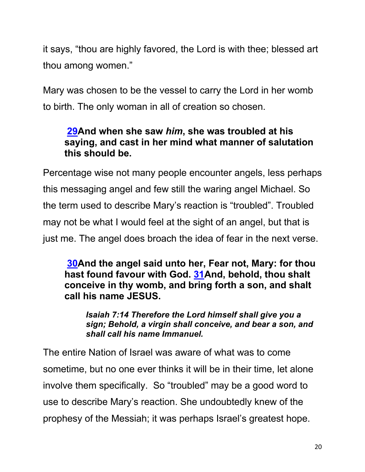it says, "thou are highly favored, the Lord is with thee; blessed art thou among women."

Mary was chosen to be the vessel to carry the Lord in her womb to birth. The only woman in all of creation so chosen.

## **29And when she saw** *him***, she was troubled at his saying, and cast in her mind what manner of salutation this should be.**

Percentage wise not many people encounter angels, less perhaps this messaging angel and few still the waring angel Michael. So the term used to describe Mary's reaction is "troubled". Troubled may not be what I would feel at the sight of an angel, but that is just me. The angel does broach the idea of fear in the next verse.

**30And the angel said unto her, Fear not, Mary: for thou hast found favour with God. 31And, behold, thou shalt conceive in thy womb, and bring forth a son, and shalt call his name JESUS.**

*Isaiah 7:14 Therefore the Lord himself shall give you a sign; Behold, a virgin shall conceive, and bear a son, and shall call his name Immanuel.*

The entire Nation of Israel was aware of what was to come sometime, but no one ever thinks it will be in their time, let alone involve them specifically. So "troubled" may be a good word to use to describe Mary's reaction. She undoubtedly knew of the prophesy of the Messiah; it was perhaps Israel's greatest hope.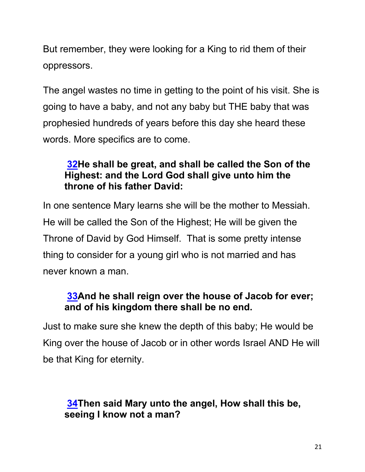But remember, they were looking for a King to rid them of their oppressors.

The angel wastes no time in getting to the point of his visit. She is going to have a baby, and not any baby but THE baby that was prophesied hundreds of years before this day she heard these words. More specifics are to come.

## **32He shall be great, and shall be called the Son of the Highest: and the Lord God shall give unto him the throne of his father David:**

In one sentence Mary learns she will be the mother to Messiah. He will be called the Son of the Highest; He will be given the Throne of David by God Himself. That is some pretty intense thing to consider for a young girl who is not married and has never known a man.

## **33And he shall reign over the house of Jacob for ever; and of his kingdom there shall be no end.**

Just to make sure she knew the depth of this baby; He would be King over the house of Jacob or in other words Israel AND He will be that King for eternity.

## **34Then said Mary unto the angel, How shall this be, seeing I know not a man?**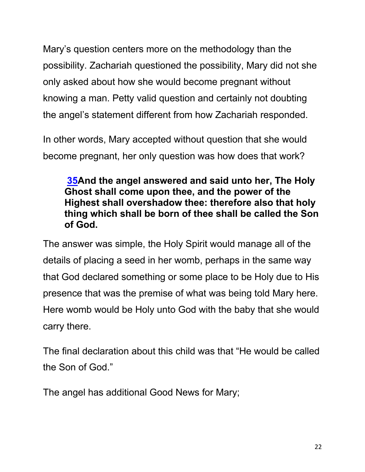Mary's question centers more on the methodology than the possibility. Zachariah questioned the possibility, Mary did not she only asked about how she would become pregnant without knowing a man. Petty valid question and certainly not doubting the angel's statement different from how Zachariah responded.

In other words, Mary accepted without question that she would become pregnant, her only question was how does that work?

## **35And the angel answered and said unto her, The Holy Ghost shall come upon thee, and the power of the Highest shall overshadow thee: therefore also that holy thing which shall be born of thee shall be called the Son of God.**

The answer was simple, the Holy Spirit would manage all of the details of placing a seed in her womb, perhaps in the same way that God declared something or some place to be Holy due to His presence that was the premise of what was being told Mary here. Here womb would be Holy unto God with the baby that she would carry there.

The final declaration about this child was that "He would be called the Son of God."

The angel has additional Good News for Mary;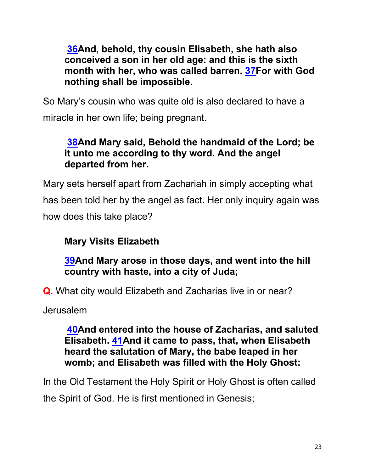**36And, behold, thy cousin Elisabeth, she hath also conceived a son in her old age: and this is the sixth month with her, who was called barren. 37For with God nothing shall be impossible.**

So Mary's cousin who was quite old is also declared to have a miracle in her own life; being pregnant.

## **38And Mary said, Behold the handmaid of the Lord; be it unto me according to thy word. And the angel departed from her.**

Mary sets herself apart from Zachariah in simply accepting what has been told her by the angel as fact. Her only inquiry again was how does this take place?

## **Mary Visits Elizabeth**

## **39And Mary arose in those days, and went into the hill country with haste, into a city of Juda;**

**Q.** What city would Elizabeth and Zacharias live in or near?

Jerusalem

**40And entered into the house of Zacharias, and saluted Elisabeth. 41And it came to pass, that, when Elisabeth heard the salutation of Mary, the babe leaped in her womb; and Elisabeth was filled with the Holy Ghost:**

In the Old Testament the Holy Spirit or Holy Ghost is often called the Spirit of God. He is first mentioned in Genesis;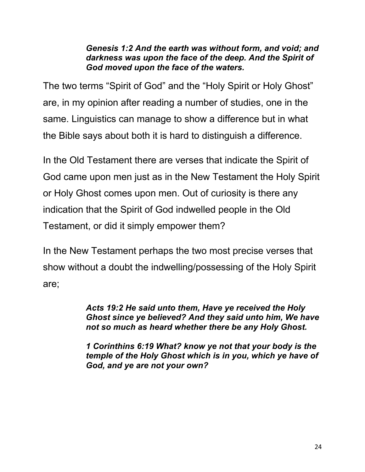#### *Genesis 1:2 And the earth was without form, and void; and darkness was upon the face of the deep. And the Spirit of God moved upon the face of the waters.*

The two terms "Spirit of God" and the "Holy Spirit or Holy Ghost" are, in my opinion after reading a number of studies, one in the same. Linguistics can manage to show a difference but in what the Bible says about both it is hard to distinguish a difference.

In the Old Testament there are verses that indicate the Spirit of God came upon men just as in the New Testament the Holy Spirit or Holy Ghost comes upon men. Out of curiosity is there any indication that the Spirit of God indwelled people in the Old Testament, or did it simply empower them?

In the New Testament perhaps the two most precise verses that show without a doubt the indwelling/possessing of the Holy Spirit are;

> *Acts 19:2 He said unto them, Have ye received the Holy Ghost since ye believed? And they said unto him, We have not so much as heard whether there be any Holy Ghost.*

> *1 Corinthins 6:19 What? know ye not that your body is the temple of the Holy Ghost which is in you, which ye have of God, and ye are not your own?*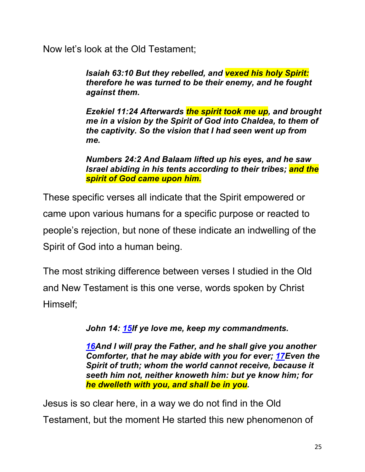Now let's look at the Old Testament;

*Isaiah 63:10 But they rebelled, and vexed his holy Spirit: therefore he was turned to be their enemy, and he fought against them.*

*Ezekiel 11:24 Afterwards the spirit took me up, and brought me in a vision by the Spirit of God into Chaldea, to them of the captivity. So the vision that I had seen went up from me.*

*Numbers 24:2 And Balaam lifted up his eyes, and he saw Israel abiding in his tents according to their tribes; and the spirit of God came upon him.*

These specific verses all indicate that the Spirit empowered or came upon various humans for a specific purpose or reacted to people's rejection, but none of these indicate an indwelling of the Spirit of God into a human being.

The most striking difference between verses I studied in the Old and New Testament is this one verse, words spoken by Christ Himself;

*John 14: 15If ye love me, keep my commandments.*

*16And I will pray the Father, and he shall give you another Comforter, that he may abide with you for ever; 17Even the Spirit of truth; whom the world cannot receive, because it seeth him not, neither knoweth him: but ye know him; for he dwelleth with you, and shall be in you.*

Jesus is so clear here, in a way we do not find in the Old Testament, but the moment He started this new phenomenon of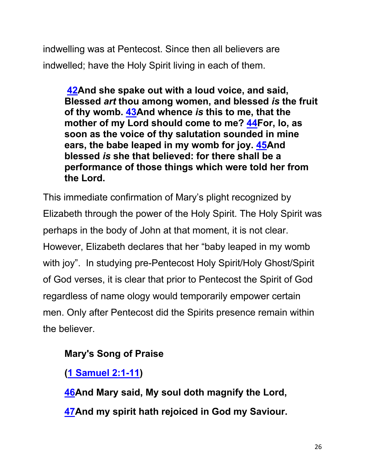indwelling was at Pentecost. Since then all believers are indwelled; have the Holy Spirit living in each of them.

**42And she spake out with a loud voice, and said, Blessed** *art* **thou among women, and blessed** *is* **the fruit of thy womb. 43And whence** *is* **this to me, that the mother of my Lord should come to me? 44For, lo, as soon as the voice of thy salutation sounded in mine ears, the babe leaped in my womb for joy. 45And blessed** *is* **she that believed: for there shall be a performance of those things which were told her from the Lord.**

This immediate confirmation of Mary's plight recognized by Elizabeth through the power of the Holy Spirit. The Holy Spirit was perhaps in the body of John at that moment, it is not clear. However, Elizabeth declares that her "baby leaped in my womb with joy". In studying pre-Pentecost Holy Spirit/Holy Ghost/Spirit of God verses, it is clear that prior to Pentecost the Spirit of God regardless of name ology would temporarily empower certain men. Only after Pentecost did the Spirits presence remain within the believer.

## **Mary's Song of Praise**

**(1 Samuel 2:1-11)**

**46And Mary said, My soul doth magnify the Lord, 47And my spirit hath rejoiced in God my Saviour.**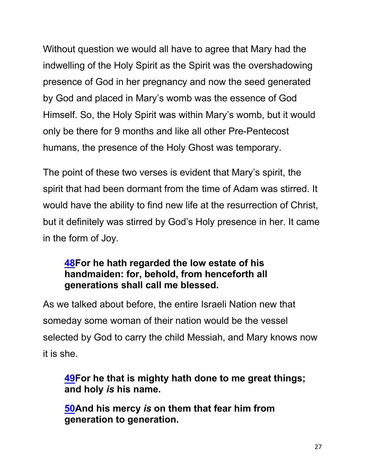Without question we would all have to agree that Mary had the indwelling of the Holy Spirit as the Spirit was the overshadowing presence of God in her pregnancy and now the seed generated by God and placed in Mary's womb was the essence of God Himself. So, the Holy Spirit was within Mary's womb, but it would only be there for 9 months and like all other Pre-Pentecost humans, the presence of the Holy Ghost was temporary.

The point of these two verses is evident that Mary's spirit, the spirit that had been dormant from the time of Adam was stirred. It would have the ability to find new life at the resurrection of Christ, but it definitely was stirred by God's Holy presence in her. It came in the form of Joy.

## **48For he hath regarded the low estate of his handmaiden: for, behold, from henceforth all generations shall call me blessed.**

As we talked about before, the entire Israeli Nation new that someday some woman of their nation would be the vessel selected by God to carry the child Messiah, and Mary knows now it is she.

**49For he that is mighty hath done to me great things; and holy** *is* **his name.**

**50And his mercy** *is* **on them that fear him from generation to generation.**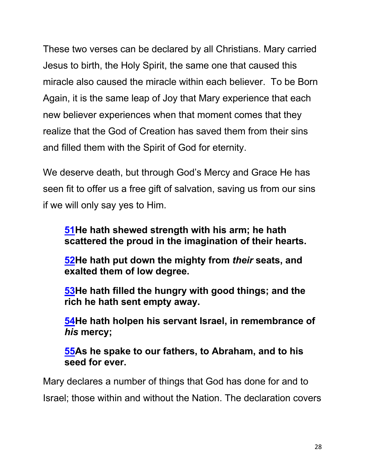These two verses can be declared by all Christians. Mary carried Jesus to birth, the Holy Spirit, the same one that caused this miracle also caused the miracle within each believer. To be Born Again, it is the same leap of Joy that Mary experience that each new believer experiences when that moment comes that they realize that the God of Creation has saved them from their sins and filled them with the Spirit of God for eternity.

We deserve death, but through God's Mercy and Grace He has seen fit to offer us a free gift of salvation, saving us from our sins if we will only say yes to Him.

### **51He hath shewed strength with his arm; he hath scattered the proud in the imagination of their hearts.**

**52He hath put down the mighty from** *their* **seats, and exalted them of low degree.**

**53He hath filled the hungry with good things; and the rich he hath sent empty away.**

**54He hath holpen his servant Israel, in remembrance of**  *his* **mercy;**

**55As he spake to our fathers, to Abraham, and to his seed for ever.**

Mary declares a number of things that God has done for and to Israel; those within and without the Nation. The declaration covers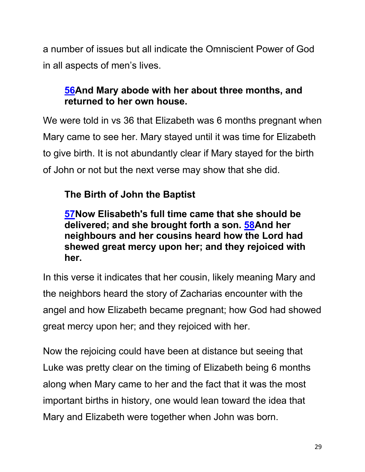a number of issues but all indicate the Omniscient Power of God in all aspects of men's lives.

## **56And Mary abode with her about three months, and returned to her own house.**

We were told in vs 36 that Elizabeth was 6 months pregnant when Mary came to see her. Mary stayed until it was time for Elizabeth to give birth. It is not abundantly clear if Mary stayed for the birth of John or not but the next verse may show that she did.

## **The Birth of John the Baptist**

## **57Now Elisabeth's full time came that she should be delivered; and she brought forth a son. 58And her neighbours and her cousins heard how the Lord had shewed great mercy upon her; and they rejoiced with her.**

In this verse it indicates that her cousin, likely meaning Mary and the neighbors heard the story of Zacharias encounter with the angel and how Elizabeth became pregnant; how God had showed great mercy upon her; and they rejoiced with her.

Now the rejoicing could have been at distance but seeing that Luke was pretty clear on the timing of Elizabeth being 6 months along when Mary came to her and the fact that it was the most important births in history, one would lean toward the idea that Mary and Elizabeth were together when John was born.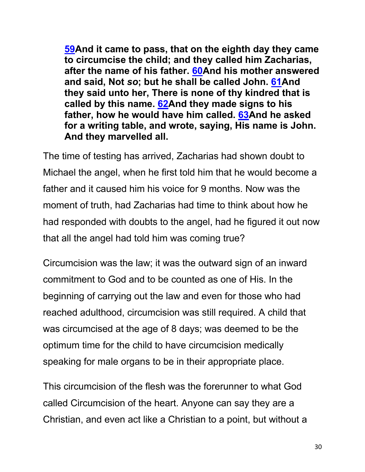**59And it came to pass, that on the eighth day they came to circumcise the child; and they called him Zacharias, after the name of his father. 60And his mother answered and said, Not** *so***; but he shall be called John. 61And they said unto her, There is none of thy kindred that is called by this name. 62And they made signs to his father, how he would have him called. 63And he asked for a writing table, and wrote, saying, His name is John. And they marvelled all.** 

The time of testing has arrived, Zacharias had shown doubt to Michael the angel, when he first told him that he would become a father and it caused him his voice for 9 months. Now was the moment of truth, had Zacharias had time to think about how he had responded with doubts to the angel, had he figured it out now that all the angel had told him was coming true?

Circumcision was the law; it was the outward sign of an inward commitment to God and to be counted as one of His. In the beginning of carrying out the law and even for those who had reached adulthood, circumcision was still required. A child that was circumcised at the age of 8 days; was deemed to be the optimum time for the child to have circumcision medically speaking for male organs to be in their appropriate place.

This circumcision of the flesh was the forerunner to what God called Circumcision of the heart. Anyone can say they are a Christian, and even act like a Christian to a point, but without a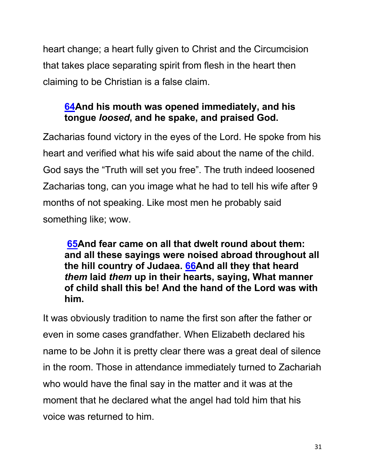heart change; a heart fully given to Christ and the Circumcision that takes place separating spirit from flesh in the heart then claiming to be Christian is a false claim.

## **64And his mouth was opened immediately, and his tongue** *loosed***, and he spake, and praised God.**

Zacharias found victory in the eyes of the Lord. He spoke from his heart and verified what his wife said about the name of the child. God says the "Truth will set you free". The truth indeed loosened Zacharias tong, can you image what he had to tell his wife after 9 months of not speaking. Like most men he probably said something like; wow.

**65And fear came on all that dwelt round about them: and all these sayings were noised abroad throughout all the hill country of Judaea. 66And all they that heard**  *them* **laid** *them* **up in their hearts, saying, What manner of child shall this be! And the hand of the Lord was with him.**

It was obviously tradition to name the first son after the father or even in some cases grandfather. When Elizabeth declared his name to be John it is pretty clear there was a great deal of silence in the room. Those in attendance immediately turned to Zachariah who would have the final say in the matter and it was at the moment that he declared what the angel had told him that his voice was returned to him.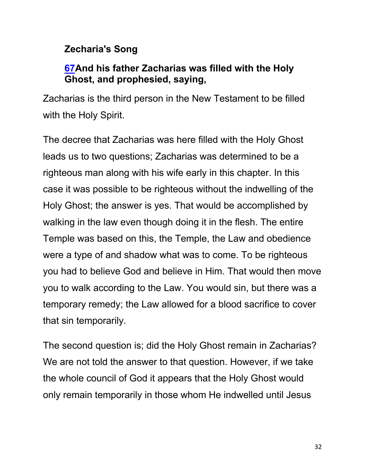## **Zecharia's Song**

## **67And his father Zacharias was filled with the Holy Ghost, and prophesied, saying,**

Zacharias is the third person in the New Testament to be filled with the Holy Spirit.

The decree that Zacharias was here filled with the Holy Ghost leads us to two questions; Zacharias was determined to be a righteous man along with his wife early in this chapter. In this case it was possible to be righteous without the indwelling of the Holy Ghost; the answer is yes. That would be accomplished by walking in the law even though doing it in the flesh. The entire Temple was based on this, the Temple, the Law and obedience were a type of and shadow what was to come. To be righteous you had to believe God and believe in Him. That would then move you to walk according to the Law. You would sin, but there was a temporary remedy; the Law allowed for a blood sacrifice to cover that sin temporarily.

The second question is; did the Holy Ghost remain in Zacharias? We are not told the answer to that question. However, if we take the whole council of God it appears that the Holy Ghost would only remain temporarily in those whom He indwelled until Jesus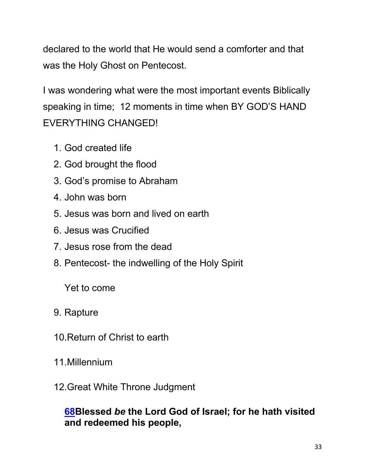declared to the world that He would send a comforter and that was the Holy Ghost on Pentecost.

I was wondering what were the most important events Biblically speaking in time; 12 moments in time when BY GOD'S HAND EVERYTHING CHANGED!

- 1. God created life
- 2. God brought the flood
- 3. God's promise to Abraham
- 4. John was born
- 5. Jesus was born and lived on earth
- 6. Jesus was Crucified
- 7. Jesus rose from the dead
- 8. Pentecost- the indwelling of the Holy Spirit

Yet to come

- 9. Rapture
- 10.Return of Christ to earth
- 11.Millennium
- 12.Great White Throne Judgment

## **68Blessed** *be* **the Lord God of Israel; for he hath visited and redeemed his people,**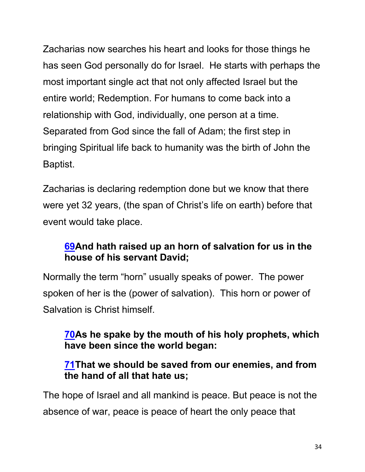Zacharias now searches his heart and looks for those things he has seen God personally do for Israel. He starts with perhaps the most important single act that not only affected Israel but the entire world; Redemption. For humans to come back into a relationship with God, individually, one person at a time. Separated from God since the fall of Adam; the first step in bringing Spiritual life back to humanity was the birth of John the Baptist.

Zacharias is declaring redemption done but we know that there were yet 32 years, (the span of Christ's life on earth) before that event would take place.

## **69And hath raised up an horn of salvation for us in the house of his servant David;**

Normally the term "horn" usually speaks of power. The power spoken of her is the (power of salvation). This horn or power of Salvation is Christ himself.

## **70As he spake by the mouth of his holy prophets, which have been since the world began:**

## **71That we should be saved from our enemies, and from the hand of all that hate us;**

The hope of Israel and all mankind is peace. But peace is not the absence of war, peace is peace of heart the only peace that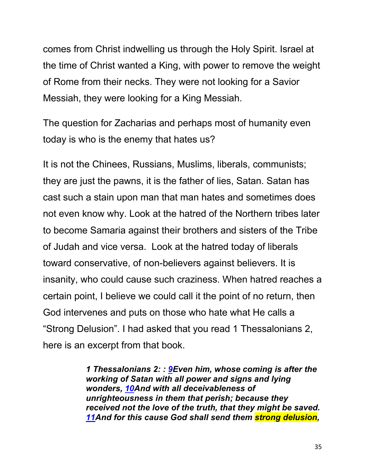comes from Christ indwelling us through the Holy Spirit. Israel at the time of Christ wanted a King, with power to remove the weight of Rome from their necks. They were not looking for a Savior Messiah, they were looking for a King Messiah.

The question for Zacharias and perhaps most of humanity even today is who is the enemy that hates us?

It is not the Chinees, Russians, Muslims, liberals, communists; they are just the pawns, it is the father of lies, Satan. Satan has cast such a stain upon man that man hates and sometimes does not even know why. Look at the hatred of the Northern tribes later to become Samaria against their brothers and sisters of the Tribe of Judah and vice versa. Look at the hatred today of liberals toward conservative, of non-believers against believers. It is insanity, who could cause such craziness. When hatred reaches a certain point, I believe we could call it the point of no return, then God intervenes and puts on those who hate what He calls a "Strong Delusion". I had asked that you read 1 Thessalonians 2, here is an excerpt from that book.

> *1 Thessalonians 2: : 9Even him, whose coming is after the working of Satan with all power and signs and lying wonders, 10And with all deceivableness of unrighteousness in them that perish; because they received not the love of the truth, that they might be saved. 11And for this cause God shall send them strong delusion,*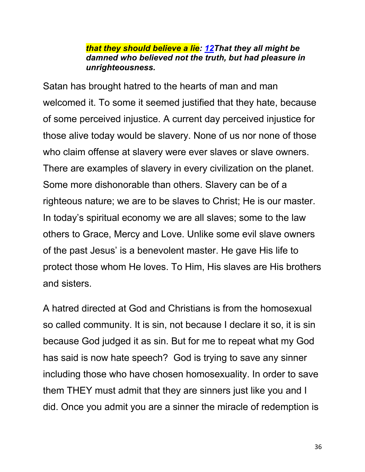#### *that they should believe a lie: 12That they all might be damned who believed not the truth, but had pleasure in unrighteousness.*

Satan has brought hatred to the hearts of man and man welcomed it. To some it seemed justified that they hate, because of some perceived injustice. A current day perceived injustice for those alive today would be slavery. None of us nor none of those who claim offense at slavery were ever slaves or slave owners. There are examples of slavery in every civilization on the planet. Some more dishonorable than others. Slavery can be of a righteous nature; we are to be slaves to Christ; He is our master. In today's spiritual economy we are all slaves; some to the law others to Grace, Mercy and Love. Unlike some evil slave owners of the past Jesus' is a benevolent master. He gave His life to protect those whom He loves. To Him, His slaves are His brothers and sisters.

A hatred directed at God and Christians is from the homosexual so called community. It is sin, not because I declare it so, it is sin because God judged it as sin. But for me to repeat what my God has said is now hate speech? God is trying to save any sinner including those who have chosen homosexuality. In order to save them THEY must admit that they are sinners just like you and I did. Once you admit you are a sinner the miracle of redemption is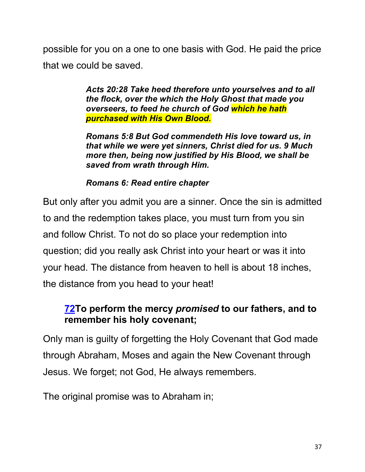possible for you on a one to one basis with God. He paid the price that we could be saved.

> *Acts 20:28 Take heed therefore unto yourselves and to all the flock, over the which the Holy Ghost that made you overseers, to feed he church of God which he hath purchased with His Own Blood.*

> *Romans 5:8 But God commendeth His love toward us, in that while we were yet sinners, Christ died for us. 9 Much more then, being now justified by His Blood, we shall be saved from wrath through Him.*

#### *Romans 6: Read entire chapter*

But only after you admit you are a sinner. Once the sin is admitted to and the redemption takes place, you must turn from you sin and follow Christ. To not do so place your redemption into question; did you really ask Christ into your heart or was it into your head. The distance from heaven to hell is about 18 inches, the distance from you head to your heat!

## **72To perform the mercy** *promised* **to our fathers, and to remember his holy covenant;**

Only man is guilty of forgetting the Holy Covenant that God made through Abraham, Moses and again the New Covenant through Jesus. We forget; not God, He always remembers.

The original promise was to Abraham in;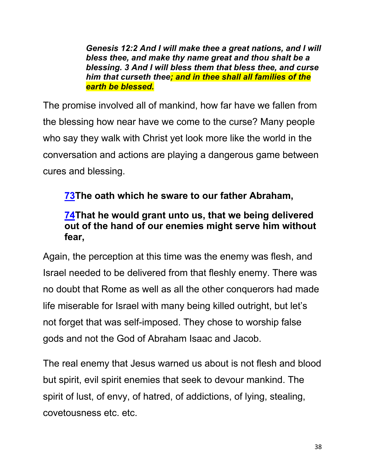*Genesis 12:2 And I will make thee a great nations, and I will bless thee, and make thy name great and thou shalt be a blessing. 3 And I will bless them that bless thee, and curse him that curseth thee; and in thee shall all families of the earth be blessed.*

The promise involved all of mankind, how far have we fallen from the blessing how near have we come to the curse? Many people who say they walk with Christ yet look more like the world in the conversation and actions are playing a dangerous game between cures and blessing.

## **73The oath which he sware to our father Abraham,**

## **74That he would grant unto us, that we being delivered out of the hand of our enemies might serve him without fear,**

Again, the perception at this time was the enemy was flesh, and Israel needed to be delivered from that fleshly enemy. There was no doubt that Rome as well as all the other conquerors had made life miserable for Israel with many being killed outright, but let's not forget that was self-imposed. They chose to worship false gods and not the God of Abraham Isaac and Jacob.

The real enemy that Jesus warned us about is not flesh and blood but spirit, evil spirit enemies that seek to devour mankind. The spirit of lust, of envy, of hatred, of addictions, of lying, stealing, covetousness etc. etc.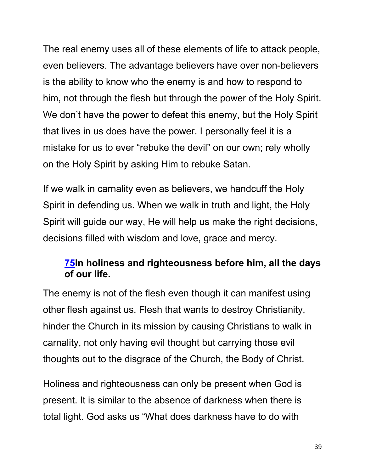The real enemy uses all of these elements of life to attack people, even believers. The advantage believers have over non-believers is the ability to know who the enemy is and how to respond to him, not through the flesh but through the power of the Holy Spirit. We don't have the power to defeat this enemy, but the Holy Spirit that lives in us does have the power. I personally feel it is a mistake for us to ever "rebuke the devil" on our own; rely wholly on the Holy Spirit by asking Him to rebuke Satan.

If we walk in carnality even as believers, we handcuff the Holy Spirit in defending us. When we walk in truth and light, the Holy Spirit will guide our way, He will help us make the right decisions, decisions filled with wisdom and love, grace and mercy.

#### **75In holiness and righteousness before him, all the days of our life.**

The enemy is not of the flesh even though it can manifest using other flesh against us. Flesh that wants to destroy Christianity, hinder the Church in its mission by causing Christians to walk in carnality, not only having evil thought but carrying those evil thoughts out to the disgrace of the Church, the Body of Christ.

Holiness and righteousness can only be present when God is present. It is similar to the absence of darkness when there is total light. God asks us "What does darkness have to do with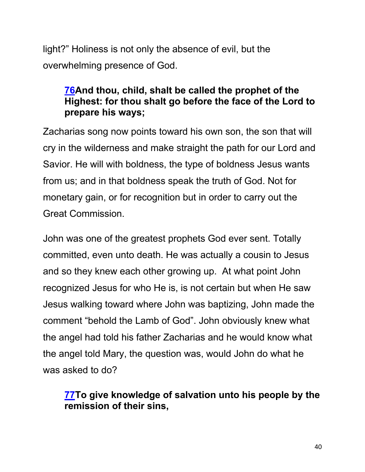light?" Holiness is not only the absence of evil, but the overwhelming presence of God.

## **76And thou, child, shalt be called the prophet of the Highest: for thou shalt go before the face of the Lord to prepare his ways;**

Zacharias song now points toward his own son, the son that will cry in the wilderness and make straight the path for our Lord and Savior. He will with boldness, the type of boldness Jesus wants from us; and in that boldness speak the truth of God. Not for monetary gain, or for recognition but in order to carry out the Great Commission.

John was one of the greatest prophets God ever sent. Totally committed, even unto death. He was actually a cousin to Jesus and so they knew each other growing up. At what point John recognized Jesus for who He is, is not certain but when He saw Jesus walking toward where John was baptizing, John made the comment "behold the Lamb of God". John obviously knew what the angel had told his father Zacharias and he would know what the angel told Mary, the question was, would John do what he was asked to do?

### **77To give knowledge of salvation unto his people by the remission of their sins,**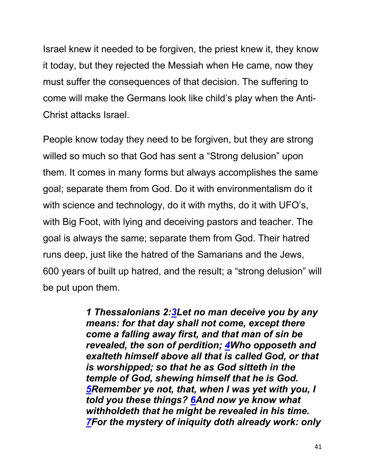Israel knew it needed to be forgiven, the priest knew it, they know it today, but they rejected the Messiah when He came, now they must suffer the consequences of that decision. The suffering to come will make the Germans look like child's play when the Anti-Christ attacks Israel.

People know today they need to be forgiven, but they are strong willed so much so that God has sent a "Strong delusion" upon them. It comes in many forms but always accomplishes the same goal; separate them from God. Do it with environmentalism do it with science and technology, do it with myths, do it with UFO's, with Big Foot, with lying and deceiving pastors and teacher. The goal is always the same; separate them from God. Their hatred runs deep, just like the hatred of the Samarians and the Jews, 600 years of built up hatred, and the result; a "strong delusion" will be put upon them.

> *1 Thessalonians 2:3Let no man deceive you by any means: for that day shall not come, except there come a falling away first, and that man of sin be revealed, the son of perdition; 4Who opposeth and exalteth himself above all that is called God, or that is worshipped; so that he as God sitteth in the temple of God, shewing himself that he is God. 5Remember ye not, that, when I was yet with you, I told you these things? 6And now ye know what withholdeth that he might be revealed in his time. 7For the mystery of iniquity doth already work: only*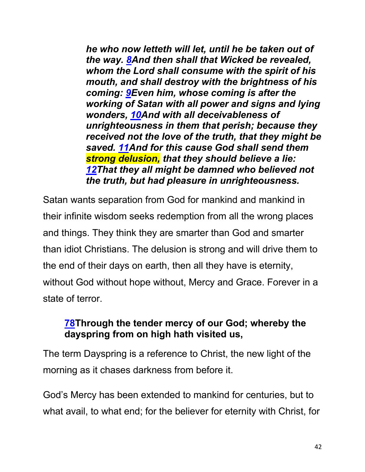*he who now letteth will let, until he be taken out of the way. 8And then shall that Wicked be revealed, whom the Lord shall consume with the spirit of his mouth, and shall destroy with the brightness of his coming: 9Even him, whose coming is after the working of Satan with all power and signs and lying wonders, 10And with all deceivableness of unrighteousness in them that perish; because they received not the love of the truth, that they might be saved. 11And for this cause God shall send them strong delusion, that they should believe a lie: 12That they all might be damned who believed not the truth, but had pleasure in unrighteousness.*

Satan wants separation from God for mankind and mankind in their infinite wisdom seeks redemption from all the wrong places and things. They think they are smarter than God and smarter than idiot Christians. The delusion is strong and will drive them to the end of their days on earth, then all they have is eternity, without God without hope without, Mercy and Grace. Forever in a state of terror.

## **78Through the tender mercy of our God; whereby the dayspring from on high hath visited us,**

The term Dayspring is a reference to Christ, the new light of the morning as it chases darkness from before it.

God's Mercy has been extended to mankind for centuries, but to what avail, to what end; for the believer for eternity with Christ, for